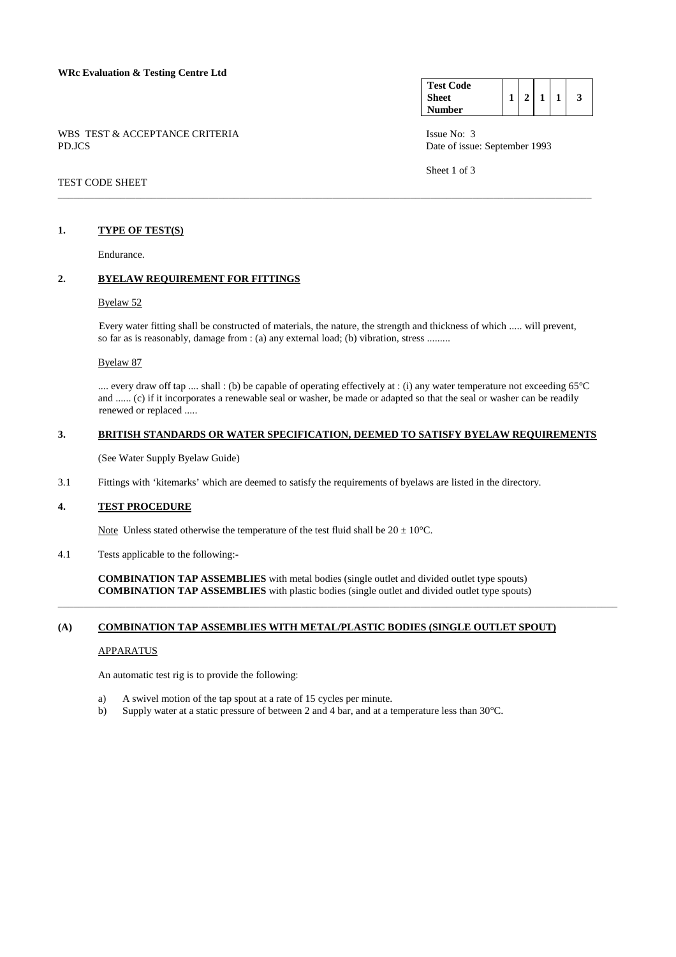### **WRc Evaluation & Testing Centre Ltd**

|        |  | WBS TEST & ACCEPTANCE CRITERIA |  |
|--------|--|--------------------------------|--|
| PD.JCS |  |                                |  |

# TEST CODE SHEET

## **1. TYPE OF TEST(S)**

Endurance.

# **2. BYELAW REQUIREMENT FOR FITTINGS**

### Byelaw 52

 Every water fitting shall be constructed of materials, the nature, the strength and thickness of which ..... will prevent, so far as is reasonably, damage from : (a) any external load; (b) vibration, stress .........

\_\_\_\_\_\_\_\_\_\_\_\_\_\_\_\_\_\_\_\_\_\_\_\_\_\_\_\_\_\_\_\_\_\_\_\_\_\_\_\_\_\_\_\_\_\_\_\_\_\_\_\_\_\_\_\_\_\_\_\_\_\_\_\_\_\_\_\_\_\_\_\_\_\_\_\_\_\_\_\_\_\_\_\_\_\_\_\_\_\_\_\_\_\_\_\_\_\_\_\_\_\_\_

### Byelaw 87

 .... every draw off tap .... shall : (b) be capable of operating effectively at : (i) any water temperature not exceeding 65°C and ...... (c) if it incorporates a renewable seal or washer, be made or adapted so that the seal or washer can be readily renewed or replaced .....

# **3. BRITISH STANDARDS OR WATER SPECIFICATION, DEEMED TO SATISFY BYELAW REQUIREMENTS**

(See Water Supply Byelaw Guide)

3.1 Fittings with 'kitemarks' which are deemed to satisfy the requirements of byelaws are listed in the directory.

## **4. TEST PROCEDURE**

Note Unless stated otherwise the temperature of the test fluid shall be  $20 \pm 10^{\circ}$ C.

4.1 Tests applicable to the following:-

 **COMBINATION TAP ASSEMBLIES** with metal bodies (single outlet and divided outlet type spouts) **COMBINATION TAP ASSEMBLIES** with plastic bodies (single outlet and divided outlet type spouts)

\_\_\_\_\_\_\_\_\_\_\_\_\_\_\_\_\_\_\_\_\_\_\_\_\_\_\_\_\_\_\_\_\_\_\_\_\_\_\_\_\_\_\_\_\_\_\_\_\_\_\_\_\_\_\_\_\_\_\_\_\_\_\_\_\_\_\_\_\_\_\_\_\_\_\_\_\_\_\_\_\_\_\_\_\_\_\_\_\_\_\_\_\_\_\_\_\_\_\_\_\_\_\_\_\_\_\_\_

# **(A) COMBINATION TAP ASSEMBLIES WITH METAL/PLASTIC BODIES (SINGLE OUTLET SPOUT)**

### APPARATUS

An automatic test rig is to provide the following:

- a) A swivel motion of the tap spout at a rate of 15 cycles per minute.
- b) Supply water at a static pressure of between 2 and 4 bar, and at a temperature less than 30°C.

| <b>Test Code</b> |  |  |   |
|------------------|--|--|---|
| <b>Sheet</b>     |  |  | 3 |
| Number           |  |  |   |

Issue No: 3 Date of issue: September 1993

Sheet 1 of 3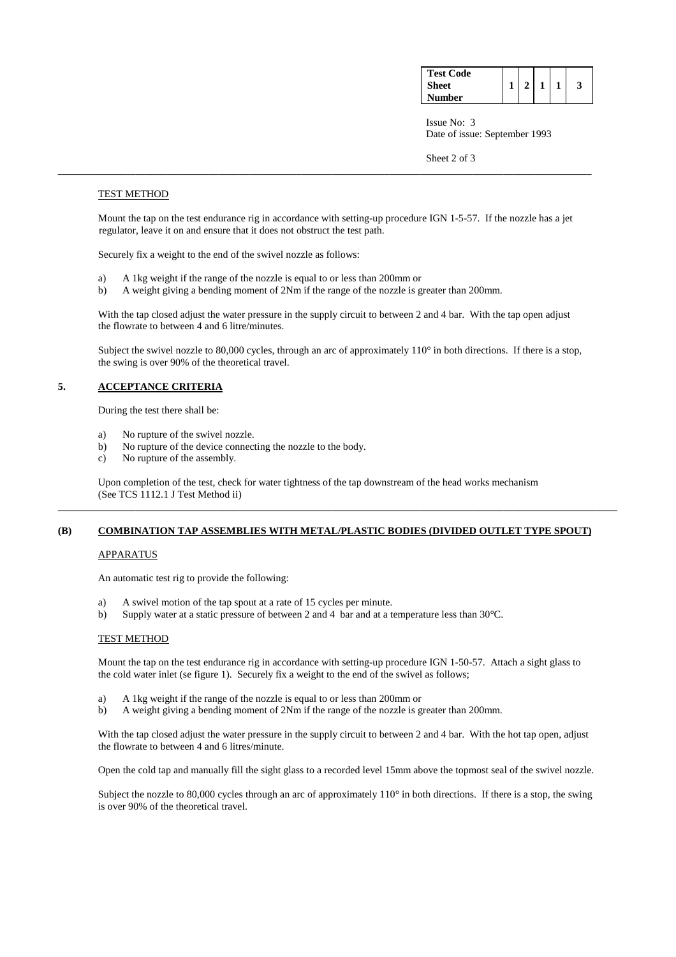| <b>Test Code</b> |  |  |  |
|------------------|--|--|--|
| Sheet            |  |  |  |
| <b>Number</b>    |  |  |  |

 Issue No: 3 Date of issue: September 1993

Sheet 2 of 3

### TEST METHOD

 Mount the tap on the test endurance rig in accordance with setting-up procedure IGN 1-5-57. If the nozzle has a jet regulator, leave it on and ensure that it does not obstruct the test path.

\_\_\_\_\_\_\_\_\_\_\_\_\_\_\_\_\_\_\_\_\_\_\_\_\_\_\_\_\_\_\_\_\_\_\_\_\_\_\_\_\_\_\_\_\_\_\_\_\_\_\_\_\_\_\_\_\_\_\_\_\_\_\_\_\_\_\_\_\_\_\_\_\_\_\_\_\_\_\_\_\_\_\_\_\_\_\_\_\_\_\_\_\_\_\_\_\_\_\_\_\_\_\_

Securely fix a weight to the end of the swivel nozzle as follows:

- a) A 1kg weight if the range of the nozzle is equal to or less than 200mm or
- b) A weight giving a bending moment of 2Nm if the range of the nozzle is greater than 200mm.

With the tap closed adjust the water pressure in the supply circuit to between 2 and 4 bar. With the tap open adjust the flowrate to between 4 and 6 litre/minutes.

Subject the swivel nozzle to 80,000 cycles, through an arc of approximately  $110^\circ$  in both directions. If there is a stop, the swing is over 90% of the theoretical travel.

## **5. ACCEPTANCE CRITERIA**

During the test there shall be:

- a) No rupture of the swivel nozzle.
- b) No rupture of the device connecting the nozzle to the body.
- c) No rupture of the assembly.

 Upon completion of the test, check for water tightness of the tap downstream of the head works mechanism (See TCS 1112.1 J Test Method ii)

## **(B) COMBINATION TAP ASSEMBLIES WITH METAL/PLASTIC BODIES (DIVIDED OUTLET TYPE SPOUT)**

\_\_\_\_\_\_\_\_\_\_\_\_\_\_\_\_\_\_\_\_\_\_\_\_\_\_\_\_\_\_\_\_\_\_\_\_\_\_\_\_\_\_\_\_\_\_\_\_\_\_\_\_\_\_\_\_\_\_\_\_\_\_\_\_\_\_\_\_\_\_\_\_\_\_\_\_\_\_\_\_\_\_\_\_\_\_\_\_\_\_\_\_\_\_\_\_\_\_\_\_\_\_\_\_\_\_\_\_

### APPARATUS

An automatic test rig to provide the following:

- a) A swivel motion of the tap spout at a rate of 15 cycles per minute.
- b) Supply water at a static pressure of between 2 and 4 bar and at a temperature less than 30°C.

### TEST METHOD

 Mount the tap on the test endurance rig in accordance with setting-up procedure IGN 1-50-57. Attach a sight glass to the cold water inlet (se figure 1). Securely fix a weight to the end of the swivel as follows;

- a) A 1kg weight if the range of the nozzle is equal to or less than 200mm or
- b) A weight giving a bending moment of 2Nm if the range of the nozzle is greater than 200mm.

With the tap closed adjust the water pressure in the supply circuit to between 2 and 4 bar. With the hot tap open, adjust the flowrate to between 4 and 6 litres/minute.

Open the cold tap and manually fill the sight glass to a recorded level 15mm above the topmost seal of the swivel nozzle.

Subject the nozzle to 80,000 cycles through an arc of approximately  $110^{\circ}$  in both directions. If there is a stop, the swing is over 90% of the theoretical travel.